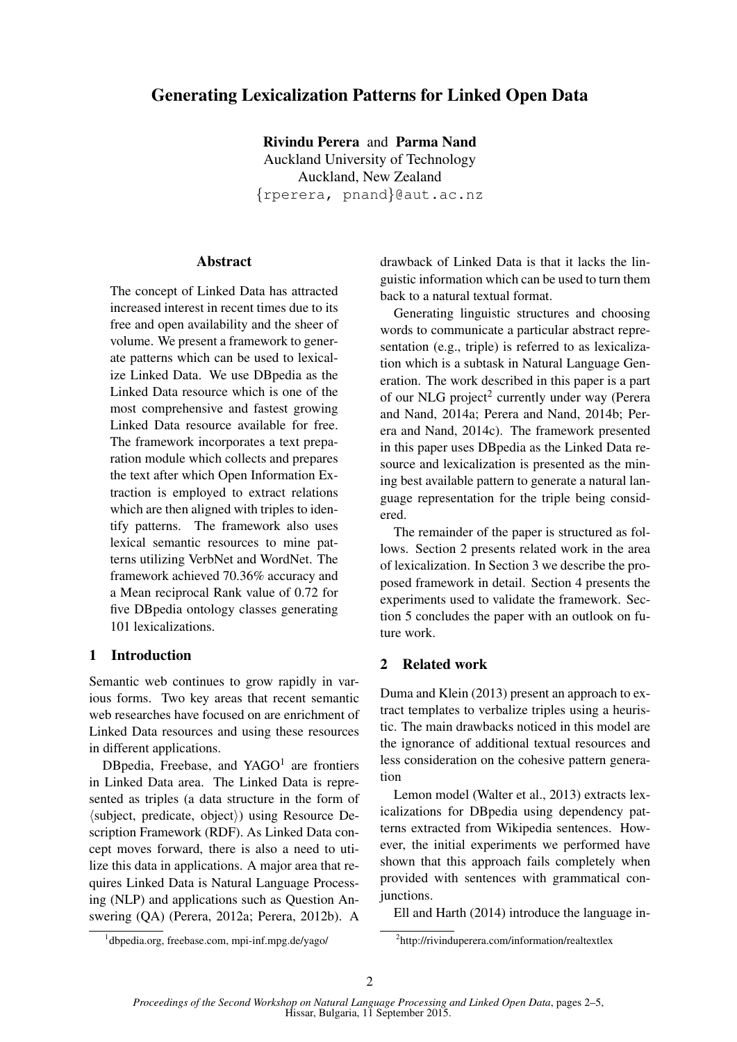# Generating Lexicalization Patterns for Linked Open Data

Rivindu Perera and Parma Nand Auckland University of Technology Auckland, New Zealand {rperera, pnand}@aut.ac.nz

### **Abstract**

The concept of Linked Data has attracted increased interest in recent times due to its free and open availability and the sheer of volume. We present a framework to generate patterns which can be used to lexicalize Linked Data. We use DBpedia as the Linked Data resource which is one of the most comprehensive and fastest growing Linked Data resource available for free. The framework incorporates a text preparation module which collects and prepares the text after which Open Information Extraction is employed to extract relations which are then aligned with triples to identify patterns. The framework also uses lexical semantic resources to mine patterns utilizing VerbNet and WordNet. The framework achieved 70.36% accuracy and a Mean reciprocal Rank value of 0.72 for five DBpedia ontology classes generating 101 lexicalizations.

## 1 Introduction

Semantic web continues to grow rapidly in various forms. Two key areas that recent semantic web researches have focused on are enrichment of Linked Data resources and using these resources in different applications.

DBpedia, Freebase, and YAGO<sup>1</sup> are frontiers in Linked Data area. The Linked Data is represented as triples (a data structure in the form of  $\langle$ subject, predicate, object $\rangle$ ) using Resource Description Framework (RDF). As Linked Data concept moves forward, there is also a need to utilize this data in applications. A major area that requires Linked Data is Natural Language Processing (NLP) and applications such as Question Answering (QA) (Perera, 2012a; Perera, 2012b). A drawback of Linked Data is that it lacks the linguistic information which can be used to turn them back to a natural textual format.

Generating linguistic structures and choosing words to communicate a particular abstract representation (e.g., triple) is referred to as lexicalization which is a subtask in Natural Language Generation. The work described in this paper is a part of our NLG project<sup>2</sup> currently under way (Perera and Nand, 2014a; Perera and Nand, 2014b; Perera and Nand, 2014c). The framework presented in this paper uses DBpedia as the Linked Data resource and lexicalization is presented as the mining best available pattern to generate a natural language representation for the triple being considered.

The remainder of the paper is structured as follows. Section 2 presents related work in the area of lexicalization. In Section 3 we describe the proposed framework in detail. Section 4 presents the experiments used to validate the framework. Section 5 concludes the paper with an outlook on future work.

# 2 Related work

Duma and Klein (2013) present an approach to extract templates to verbalize triples using a heuristic. The main drawbacks noticed in this model are the ignorance of additional textual resources and less consideration on the cohesive pattern generation

Lemon model (Walter et al., 2013) extracts lexicalizations for DBpedia using dependency patterns extracted from Wikipedia sentences. However, the initial experiments we performed have shown that this approach fails completely when provided with sentences with grammatical conjunctions.

Ell and Harth (2014) introduce the language in-

<sup>1</sup> dbpedia.org, freebase.com, mpi-inf.mpg.de/yago/

<sup>2</sup> http://rivinduperera.com/information/realtextlex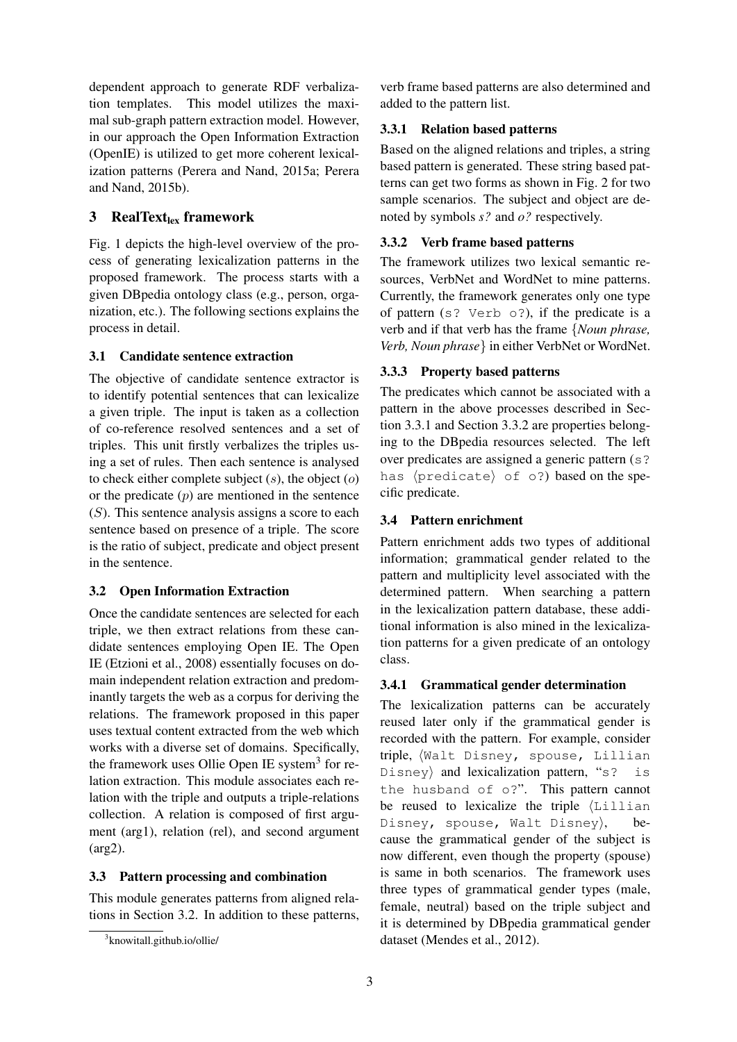dependent approach to generate RDF verbalization templates. This model utilizes the maximal sub-graph pattern extraction model. However, in our approach the Open Information Extraction (OpenIE) is utilized to get more coherent lexicalization patterns (Perera and Nand, 2015a; Perera and Nand, 2015b).

# 3 RealText $_{lex}$  framework

Fig. 1 depicts the high-level overview of the process of generating lexicalization patterns in the proposed framework. The process starts with a given DBpedia ontology class (e.g., person, organization, etc.). The following sections explains the process in detail.

## 3.1 Candidate sentence extraction

The objective of candidate sentence extractor is to identify potential sentences that can lexicalize a given triple. The input is taken as a collection of co-reference resolved sentences and a set of triples. This unit firstly verbalizes the triples using a set of rules. Then each sentence is analysed to check either complete subject  $(s)$ , the object  $(o)$ or the predicate  $(p)$  are mentioned in the sentence  $(S)$ . This sentence analysis assigns a score to each sentence based on presence of a triple. The score is the ratio of subject, predicate and object present in the sentence.

# 3.2 Open Information Extraction

Once the candidate sentences are selected for each triple, we then extract relations from these candidate sentences employing Open IE. The Open IE (Etzioni et al., 2008) essentially focuses on domain independent relation extraction and predominantly targets the web as a corpus for deriving the relations. The framework proposed in this paper uses textual content extracted from the web which works with a diverse set of domains. Specifically, the framework uses Ollie Open IE system<sup>3</sup> for relation extraction. This module associates each relation with the triple and outputs a triple-relations collection. A relation is composed of first argument (arg1), relation (rel), and second argument (arg2).

### 3.3 Pattern processing and combination

This module generates patterns from aligned relations in Section 3.2. In addition to these patterns, verb frame based patterns are also determined and added to the pattern list.

## 3.3.1 Relation based patterns

Based on the aligned relations and triples, a string based pattern is generated. These string based patterns can get two forms as shown in Fig. 2 for two sample scenarios. The subject and object are denoted by symbols *s?* and *o?* respectively.

## 3.3.2 Verb frame based patterns

The framework utilizes two lexical semantic resources, VerbNet and WordNet to mine patterns. Currently, the framework generates only one type of pattern (s? Verb o?), if the predicate is a verb and if that verb has the frame {*Noun phrase, Verb, Noun phrase*} in either VerbNet or WordNet.

# 3.3.3 Property based patterns

The predicates which cannot be associated with a pattern in the above processes described in Section 3.3.1 and Section 3.3.2 are properties belonging to the DBpedia resources selected. The left over predicates are assigned a generic pattern (s? has  $\langle$ predicate $\rangle$  of o?) based on the specific predicate.

## 3.4 Pattern enrichment

Pattern enrichment adds two types of additional information; grammatical gender related to the pattern and multiplicity level associated with the determined pattern. When searching a pattern in the lexicalization pattern database, these additional information is also mined in the lexicalization patterns for a given predicate of an ontology class.

# 3.4.1 Grammatical gender determination

The lexicalization patterns can be accurately reused later only if the grammatical gender is recorded with the pattern. For example, consider triple, (Walt Disney, spouse, Lillian  $Disney$  and lexicalization pattern, "s? is the husband of o?". This pattern cannot be reused to lexicalize the triple  $L$ illian Disney, spouse, Walt Disney), cause the grammatical gender of the subject is now different, even though the property (spouse) is same in both scenarios. The framework uses three types of grammatical gender types (male, female, neutral) based on the triple subject and it is determined by DBpedia grammatical gender dataset (Mendes et al., 2012).

<sup>3</sup> knowitall.github.io/ollie/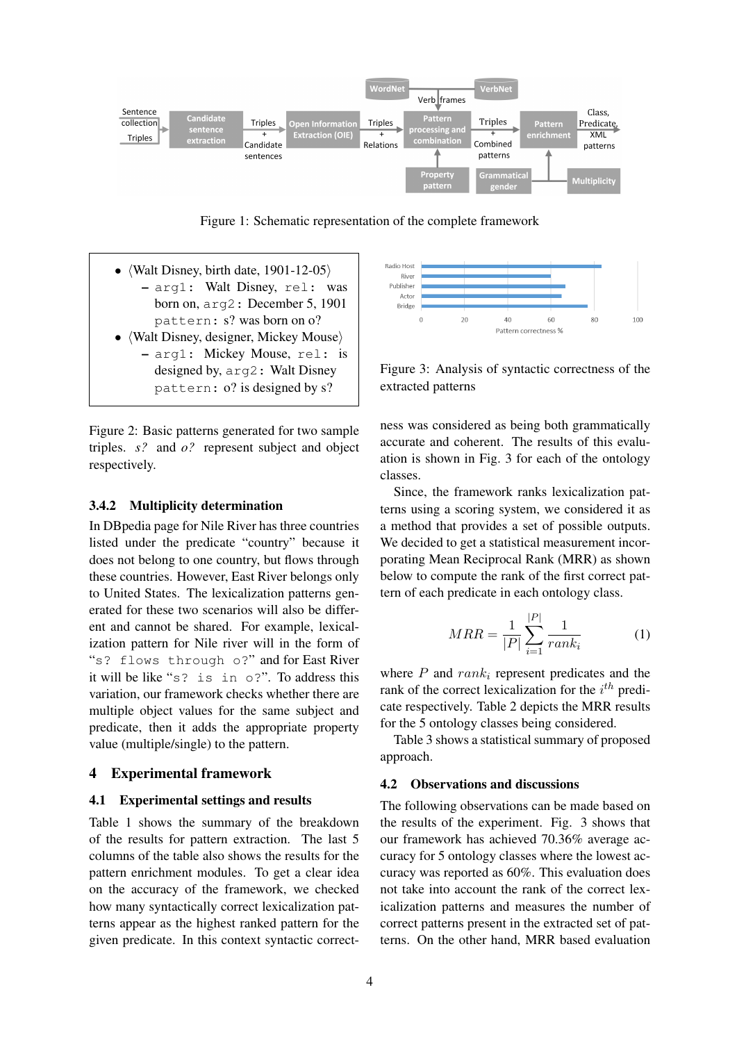

Figure 1: Schematic representation of the complete framework

- (Walt Disney, birth date,  $1901-12-05$ ) – arg1: Walt Disney, rel: was born on, arg2: December 5, 1901 pattern: s? was born on o?
- $\langle$ Walt Disney, designer, Mickey Mouse $\rangle$ 
	- arg1: Mickey Mouse, rel: is designed by, arg2: Walt Disney pattern: o? is designed by s?

Figure 2: Basic patterns generated for two sample triples. *s?* and *o?* represent subject and object respectively.

#### 3.4.2 Multiplicity determination

In DBpedia page for Nile River has three countries listed under the predicate "country" because it does not belong to one country, but flows through these countries. However, East River belongs only to United States. The lexicalization patterns generated for these two scenarios will also be different and cannot be shared. For example, lexicalization pattern for Nile river will in the form of "s? flows through o?" and for East River it will be like "s? is in o?". To address this variation, our framework checks whether there are multiple object values for the same subject and predicate, then it adds the appropriate property value (multiple/single) to the pattern.

#### 4 Experimental framework

#### 4.1 Experimental settings and results

Table 1 shows the summary of the breakdown of the results for pattern extraction. The last 5 columns of the table also shows the results for the pattern enrichment modules. To get a clear idea on the accuracy of the framework, we checked how many syntactically correct lexicalization patterns appear as the highest ranked pattern for the given predicate. In this context syntactic correct-



Figure 3: Analysis of syntactic correctness of the extracted patterns

ness was considered as being both grammatically accurate and coherent. The results of this evaluation is shown in Fig. 3 for each of the ontology classes.

Since, the framework ranks lexicalization patterns using a scoring system, we considered it as a method that provides a set of possible outputs. We decided to get a statistical measurement incorporating Mean Reciprocal Rank (MRR) as shown below to compute the rank of the first correct pattern of each predicate in each ontology class.

$$
MRR = \frac{1}{|P|} \sum_{i=1}^{|P|} \frac{1}{rank_i}
$$
 (1)

where  $P$  and  $rank_i$  represent predicates and the rank of the correct lexicalization for the  $i^{th}$  predicate respectively. Table 2 depicts the MRR results for the 5 ontology classes being considered.

Table 3 shows a statistical summary of proposed approach.

#### 4.2 Observations and discussions

The following observations can be made based on the results of the experiment. Fig. 3 shows that our framework has achieved 70.36% average accuracy for 5 ontology classes where the lowest accuracy was reported as 60%. This evaluation does not take into account the rank of the correct lexicalization patterns and measures the number of correct patterns present in the extracted set of patterns. On the other hand, MRR based evaluation